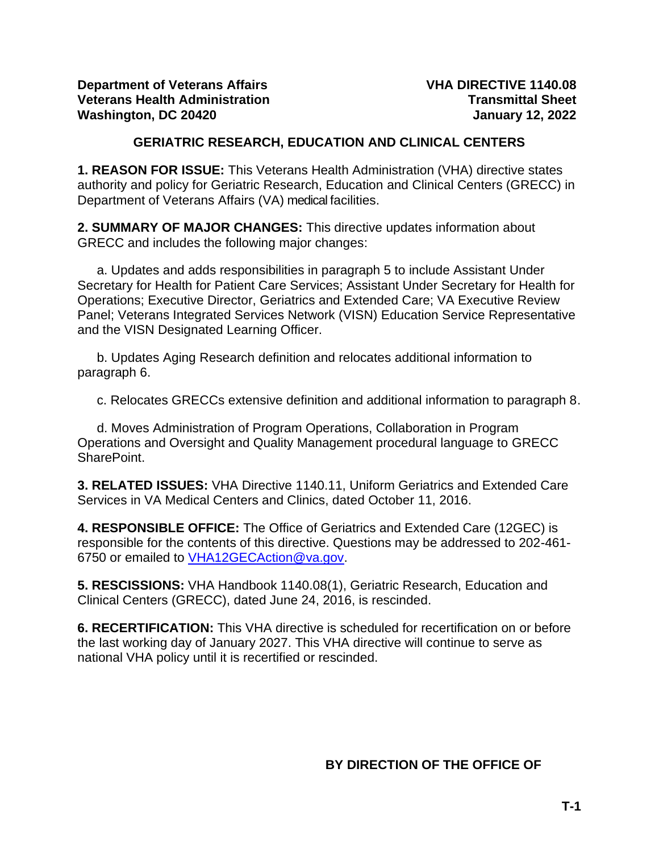### **GERIATRIC RESEARCH, EDUCATION AND CLINICAL CENTERS**

**1. REASON FOR ISSUE:** This Veterans Health Administration (VHA) directive states authority and policy for Geriatric Research, Education and Clinical Centers (GRECC) in Department of Veterans Affairs (VA) medical facilities.

**2. SUMMARY OF MAJOR CHANGES:** This directive updates information about GRECC and includes the following major changes:

a. Updates and adds responsibilities in paragraph 5 to include Assistant Under Secretary for Health for Patient Care Services; Assistant Under Secretary for Health for Operations; Executive Director, Geriatrics and Extended Care; VA Executive Review Panel; Veterans Integrated Services Network (VISN) Education Service Representative and the VISN Designated Learning Officer.

b. Updates Aging Research definition and relocates additional information to paragraph 6.

c. Relocates GRECCs extensive definition and additional information to paragraph 8.

d. Moves Administration of Program Operations, Collaboration in Program Operations and Oversight and Quality Management procedural language to GRECC SharePoint.

**3. RELATED ISSUES:** VHA Directive 1140.11, Uniform Geriatrics and Extended Care Services in VA Medical Centers and Clinics, dated October 11, 2016.

**4. RESPONSIBLE OFFICE:** The Office of Geriatrics and Extended Care (12GEC) is responsible for the contents of this directive. Questions may be addressed to 202-461- 6750 or emailed to [VHA12GECAction@va.gov.](mailto:VHA12GECAction@va.gov)

**5. RESCISSIONS:** VHA Handbook 1140.08(1), Geriatric Research, Education and Clinical Centers (GRECC), dated June 24, 2016, is rescinded.

**6. RECERTIFICATION:** This VHA directive is scheduled for recertification on or before the last working day of January 2027. This VHA directive will continue to serve as national VHA policy until it is recertified or rescinded.

# **BY DIRECTION OF THE OFFICE OF**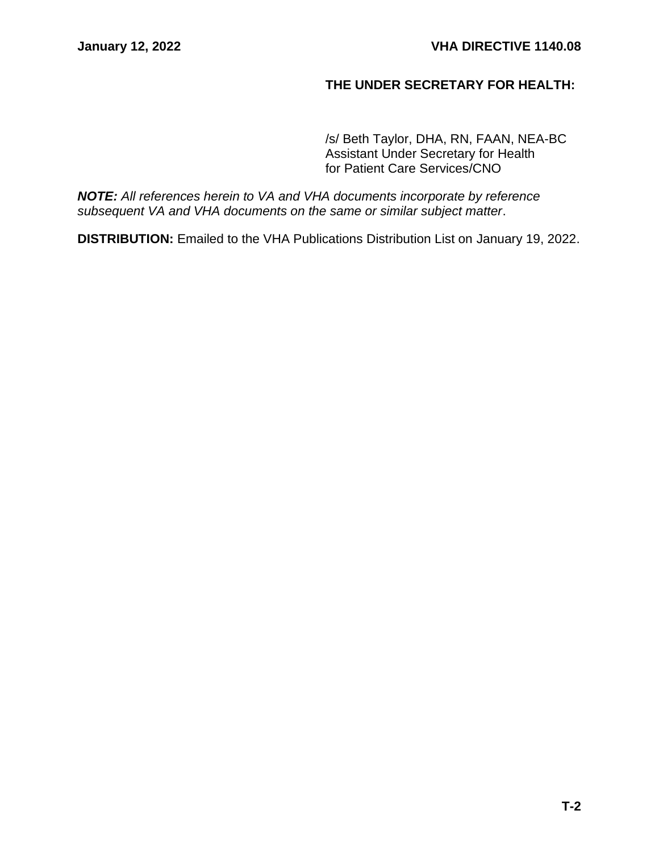## **THE UNDER SECRETARY FOR HEALTH:**

/s/ Beth Taylor, DHA, RN, FAAN, NEA-BC Assistant Under Secretary for Health for Patient Care Services/CNO

*NOTE: All references herein to VA and VHA documents incorporate by reference subsequent VA and VHA documents on the same or similar subject matter*.

**DISTRIBUTION:** Emailed to the VHA Publications Distribution List on January 19, 2022.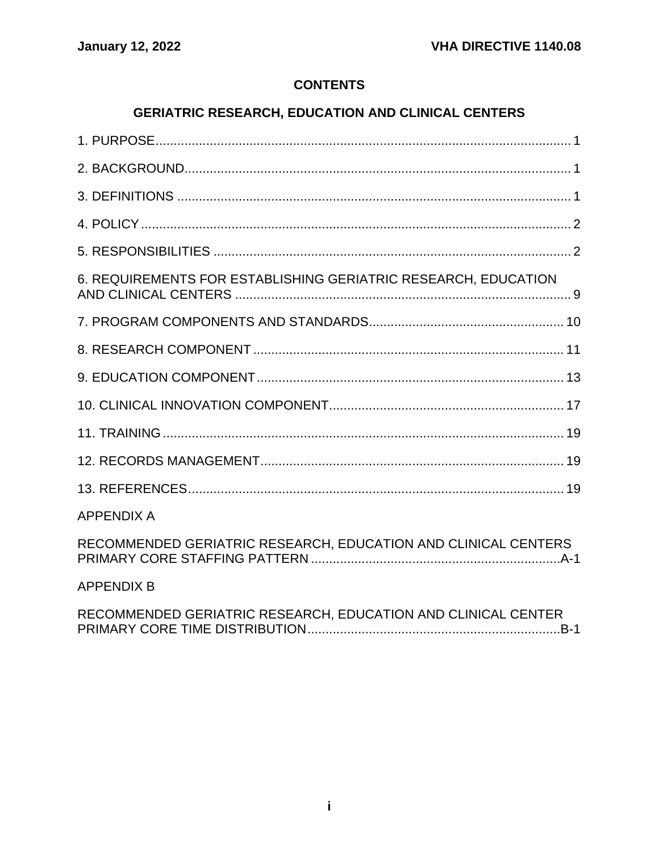# **CONTENTS**

# **GERIATRIC RESEARCH, EDUCATION AND CLINICAL CENTERS**

| 6. REQUIREMENTS FOR ESTABLISHING GERIATRIC RESEARCH, EDUCATION |
|----------------------------------------------------------------|
|                                                                |
|                                                                |
|                                                                |
|                                                                |
|                                                                |
|                                                                |
|                                                                |
| <b>APPENDIX A</b>                                              |
| RECOMMENDED GERIATRIC RESEARCH, EDUCATION AND CLINICAL CENTERS |
| <b>APPENDIX B</b>                                              |
| RECOMMENDED GERIATRIC RESEARCH, EDUCATION AND CLINICAL CENTER  |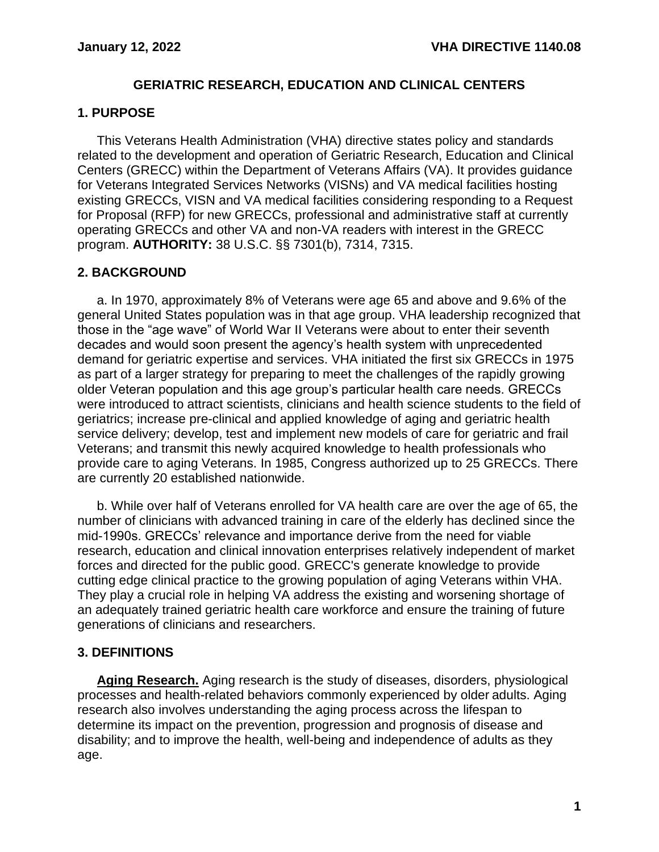#### **GERIATRIC RESEARCH, EDUCATION AND CLINICAL CENTERS**

#### <span id="page-3-0"></span>**1. PURPOSE**

This Veterans Health Administration (VHA) directive states policy and standards related to the development and operation of Geriatric Research, Education and Clinical Centers (GRECC) within the Department of Veterans Affairs (VA). It provides guidance for Veterans Integrated Services Networks (VISNs) and VA medical facilities hosting existing GRECCs, VISN and VA medical facilities considering responding to a Request for Proposal (RFP) for new GRECCs, professional and administrative staff at currently operating GRECCs and other VA and non-VA readers with interest in the GRECC program. **AUTHORITY:** 38 U.S.C. §§ 7301(b), 7314, 7315.

# <span id="page-3-1"></span>**2. BACKGROUND**

a. In 1970, approximately 8% of Veterans were age 65 and above and 9.6% of the general United States population was in that age group. VHA leadership recognized that those in the "age wave" of World War II Veterans were about to enter their seventh decades and would soon present the agency's health system with unprecedented demand for geriatric expertise and services. VHA initiated the first six GRECCs in 1975 as part of a larger strategy for preparing to meet the challenges of the rapidly growing older Veteran population and this age group's particular health care needs. GRECCs were introduced to attract scientists, clinicians and health science students to the field of geriatrics; increase pre-clinical and applied knowledge of aging and geriatric health service delivery; develop, test and implement new models of care for geriatric and frail Veterans; and transmit this newly acquired knowledge to health professionals who provide care to aging Veterans. In 1985, Congress authorized up to 25 GRECCs. There are currently 20 established nationwide.

b. While over half of Veterans enrolled for VA health care are over the age of 65, the number of clinicians with advanced training in care of the elderly has declined since the mid-1990s. GRECCs' relevance and importance derive from the need for viable research, education and clinical innovation enterprises relatively independent of market forces and directed for the public good. GRECC's generate knowledge to provide cutting edge clinical practice to the growing population of aging Veterans within VHA. They play a crucial role in helping VA address the existing and worsening shortage of an adequately trained geriatric health care workforce and ensure the training of future generations of clinicians and researchers.

#### <span id="page-3-2"></span>**3. DEFINITIONS**

**Aging Research.** Aging research is the study of diseases, disorders, physiological processes and health-related behaviors commonly experienced by older adults. Aging research also involves understanding the aging process across the lifespan to determine its impact on the prevention, progression and prognosis of disease and disability; and to improve the health, well-being and independence of adults as they age.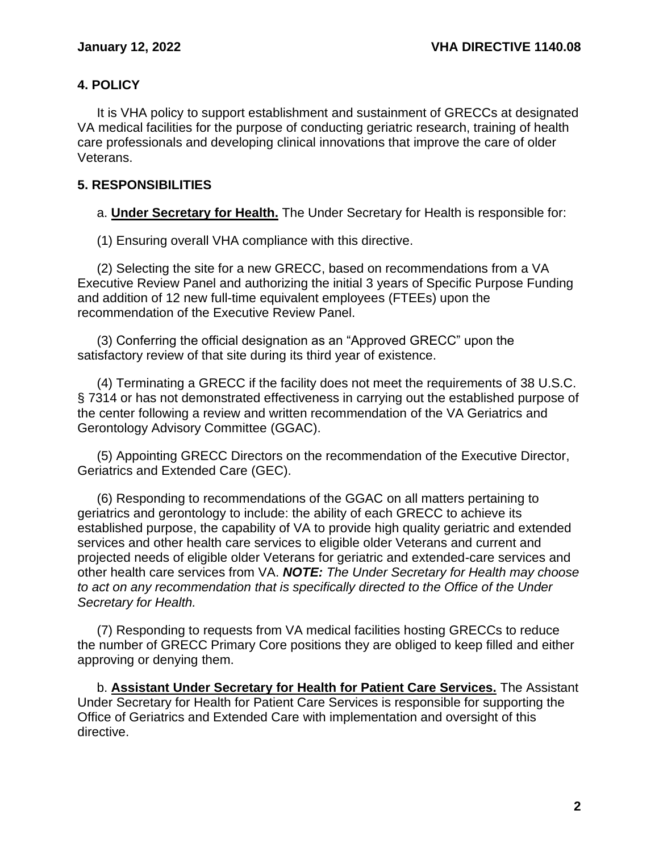### <span id="page-4-0"></span>**4. POLICY**

It is VHA policy to support establishment and sustainment of GRECCs at designated VA medical facilities for the purpose of conducting geriatric research, training of health care professionals and developing clinical innovations that improve the care of older Veterans.

#### <span id="page-4-1"></span>**5. RESPONSIBILITIES**

a. **Under Secretary for Health.** The Under Secretary for Health is responsible for:

(1) Ensuring overall VHA compliance with this directive.

(2) Selecting the site for a new GRECC, based on recommendations from a VA Executive Review Panel and authorizing the initial 3 years of Specific Purpose Funding and addition of 12 new full-time equivalent employees (FTEEs) upon the recommendation of the Executive Review Panel.

(3) Conferring the official designation as an "Approved GRECC" upon the satisfactory review of that site during its third year of existence.

(4) Terminating a GRECC if the facility does not meet the requirements of 38 U.S.C. § 7314 or has not demonstrated effectiveness in carrying out the established purpose of the center following a review and written recommendation of the VA Geriatrics and Gerontology Advisory Committee (GGAC).

(5) Appointing GRECC Directors on the recommendation of the Executive Director, Geriatrics and Extended Care (GEC).

(6) Responding to recommendations of the GGAC on all matters pertaining to geriatrics and gerontology to include: the ability of each GRECC to achieve its established purpose, the capability of VA to provide high quality geriatric and extended services and other health care services to eligible older Veterans and current and projected needs of eligible older Veterans for geriatric and extended-care services and other health care services from VA. *NOTE: The Under Secretary for Health may choose to act on any recommendation that is specifically directed to the Office of the Under Secretary for Health.*

(7) Responding to requests from VA medical facilities hosting GRECCs to reduce the number of GRECC Primary Core positions they are obliged to keep filled and either approving or denying them.

b. **Assistant Under Secretary for Health for Patient Care Services.** The Assistant Under Secretary for Health for Patient Care Services is responsible for supporting the Office of Geriatrics and Extended Care with implementation and oversight of this directive.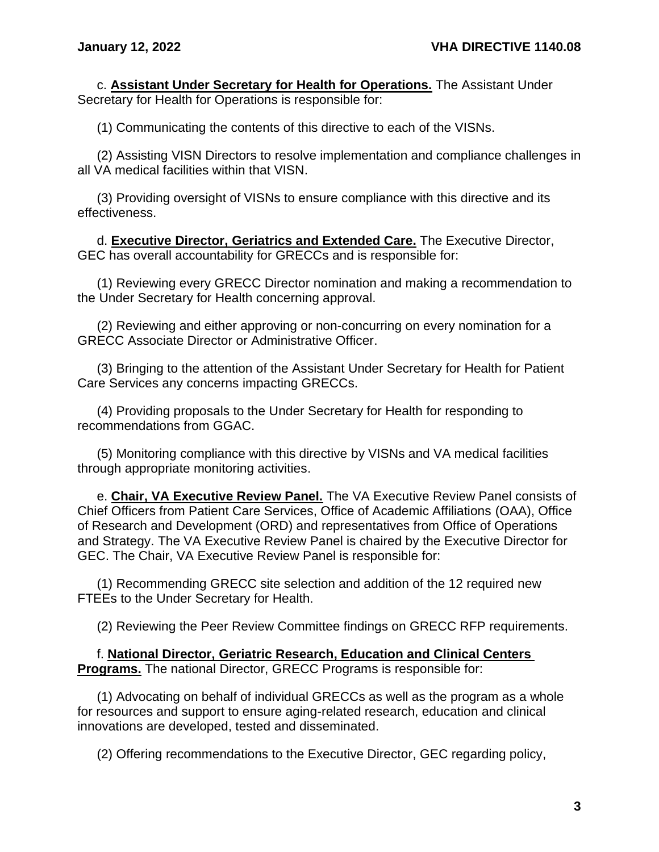c. **Assistant Under Secretary for Health for Operations.** The Assistant Under Secretary for Health for Operations is responsible for:

(1) Communicating the contents of this directive to each of the VISNs.

(2) Assisting VISN Directors to resolve implementation and compliance challenges in all VA medical facilities within that VISN.

(3) Providing oversight of VISNs to ensure compliance with this directive and its effectiveness.

d. **Executive Director, Geriatrics and Extended Care.** The Executive Director, GEC has overall accountability for GRECCs and is responsible for:

(1) Reviewing every GRECC Director nomination and making a recommendation to the Under Secretary for Health concerning approval.

(2) Reviewing and either approving or non-concurring on every nomination for a GRECC Associate Director or Administrative Officer.

(3) Bringing to the attention of the Assistant Under Secretary for Health for Patient Care Services any concerns impacting GRECCs.

(4) Providing proposals to the Under Secretary for Health for responding to recommendations from GGAC.

(5) Monitoring compliance with this directive by VISNs and VA medical facilities through appropriate monitoring activities.

e. **Chair, VA Executive Review Panel.** The VA Executive Review Panel consists of Chief Officers from Patient Care Services, Office of Academic Affiliations (OAA), Office of Research and Development (ORD) and representatives from Office of Operations and Strategy. The VA Executive Review Panel is chaired by the Executive Director for GEC. The Chair, VA Executive Review Panel is responsible for:

(1) Recommending GRECC site selection and addition of the 12 required new FTEEs to the Under Secretary for Health.

(2) Reviewing the Peer Review Committee findings on GRECC RFP requirements.

f. **National Director, Geriatric Research, Education and Clinical Centers Programs.** The national Director, GRECC Programs is responsible for:

(1) Advocating on behalf of individual GRECCs as well as the program as a whole for resources and support to ensure aging-related research, education and clinical innovations are developed, tested and disseminated.

(2) Offering recommendations to the Executive Director, GEC regarding policy,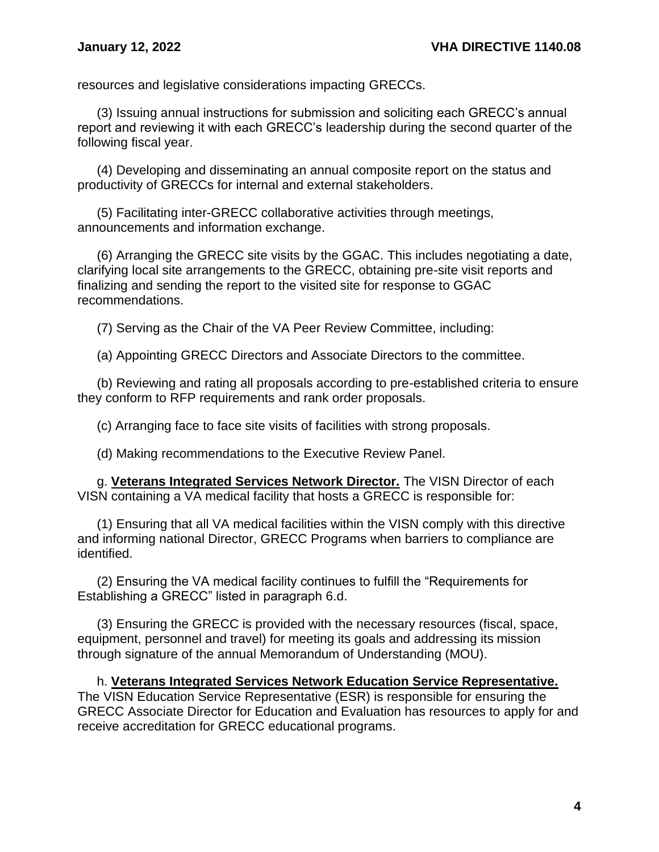resources and legislative considerations impacting GRECCs.

(3) Issuing annual instructions for submission and soliciting each GRECC's annual report and reviewing it with each GRECC's leadership during the second quarter of the following fiscal year.

(4) Developing and disseminating an annual composite report on the status and productivity of GRECCs for internal and external stakeholders.

(5) Facilitating inter-GRECC collaborative activities through meetings, announcements and information exchange.

(6) Arranging the GRECC site visits by the GGAC. This includes negotiating a date, clarifying local site arrangements to the GRECC, obtaining pre-site visit reports and finalizing and sending the report to the visited site for response to GGAC recommendations.

(7) Serving as the Chair of the VA Peer Review Committee, including:

(a) Appointing GRECC Directors and Associate Directors to the committee.

(b) Reviewing and rating all proposals according to pre-established criteria to ensure they conform to RFP requirements and rank order proposals.

(c) Arranging face to face site visits of facilities with strong proposals.

(d) Making recommendations to the Executive Review Panel.

g. **Veterans Integrated Services Network Director.** The VISN Director of each VISN containing a VA medical facility that hosts a GRECC is responsible for:

(1) Ensuring that all VA medical facilities within the VISN comply with this directive and informing national Director, GRECC Programs when barriers to compliance are identified.

(2) Ensuring the VA medical facility continues to fulfill the "Requirements for Establishing a GRECC" listed in paragraph 6.d.

(3) Ensuring the GRECC is provided with the necessary resources (fiscal, space, equipment, personnel and travel) for meeting its goals and addressing its mission through signature of the annual Memorandum of Understanding (MOU).

h. **Veterans Integrated Services Network Education Service Representative.** The VISN Education Service Representative (ESR) is responsible for ensuring the GRECC Associate Director for Education and Evaluation has resources to apply for and receive accreditation for GRECC educational programs.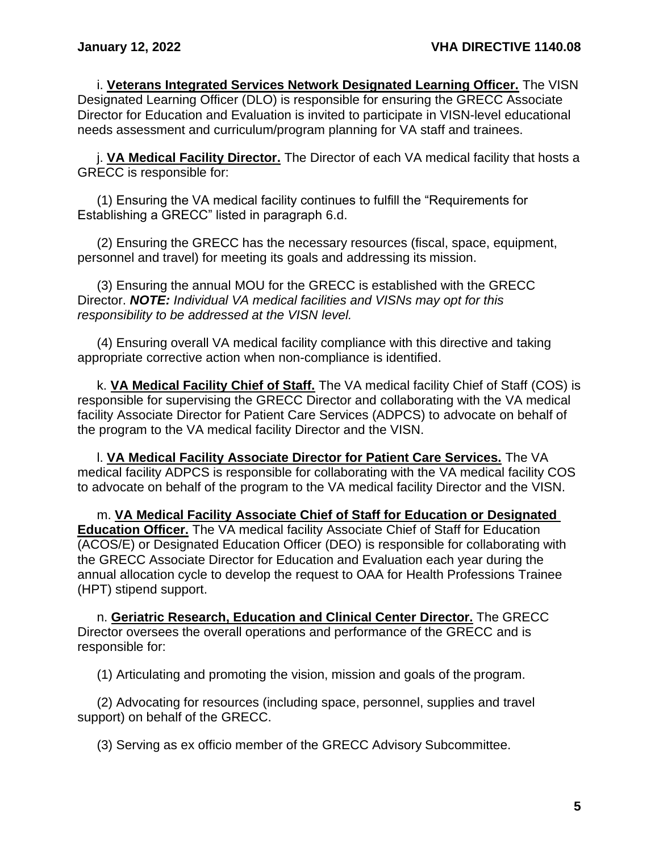i. **Veterans Integrated Services Network Designated Learning Officer.** The VISN Designated Learning Officer (DLO) is responsible for ensuring the GRECC Associate Director for Education and Evaluation is invited to participate in VISN-level educational needs assessment and curriculum/program planning for VA staff and trainees.

j. **VA Medical Facility Director.** The Director of each VA medical facility that hosts a GRECC is responsible for:

(1) Ensuring the VA medical facility continues to fulfill the "Requirements for Establishing a GRECC" listed in paragraph 6.d.

(2) Ensuring the GRECC has the necessary resources (fiscal, space, equipment, personnel and travel) for meeting its goals and addressing its mission.

(3) Ensuring the annual MOU for the GRECC is established with the GRECC Director. *NOTE: Individual VA medical facilities and VISNs may opt for this responsibility to be addressed at the VISN level.*

(4) Ensuring overall VA medical facility compliance with this directive and taking appropriate corrective action when non-compliance is identified.

k. **VA Medical Facility Chief of Staff.** The VA medical facility Chief of Staff (COS) is responsible for supervising the GRECC Director and collaborating with the VA medical facility Associate Director for Patient Care Services (ADPCS) to advocate on behalf of the program to the VA medical facility Director and the VISN.

l. **VA Medical Facility Associate Director for Patient Care Services.** The VA medical facility ADPCS is responsible for collaborating with the VA medical facility COS to advocate on behalf of the program to the VA medical facility Director and the VISN.

m. **VA Medical Facility Associate Chief of Staff for Education or Designated Education Officer.** The VA medical facility Associate Chief of Staff for Education (ACOS/E) or Designated Education Officer (DEO) is responsible for collaborating with the GRECC Associate Director for Education and Evaluation each year during the annual allocation cycle to develop the request to OAA for Health Professions Trainee (HPT) stipend support.

n. **Geriatric Research, Education and Clinical Center Director.** The GRECC Director oversees the overall operations and performance of the GRECC and is responsible for:

(1) Articulating and promoting the vision, mission and goals of the program.

(2) Advocating for resources (including space, personnel, supplies and travel support) on behalf of the GRECC.

(3) Serving as ex officio member of the GRECC Advisory Subcommittee.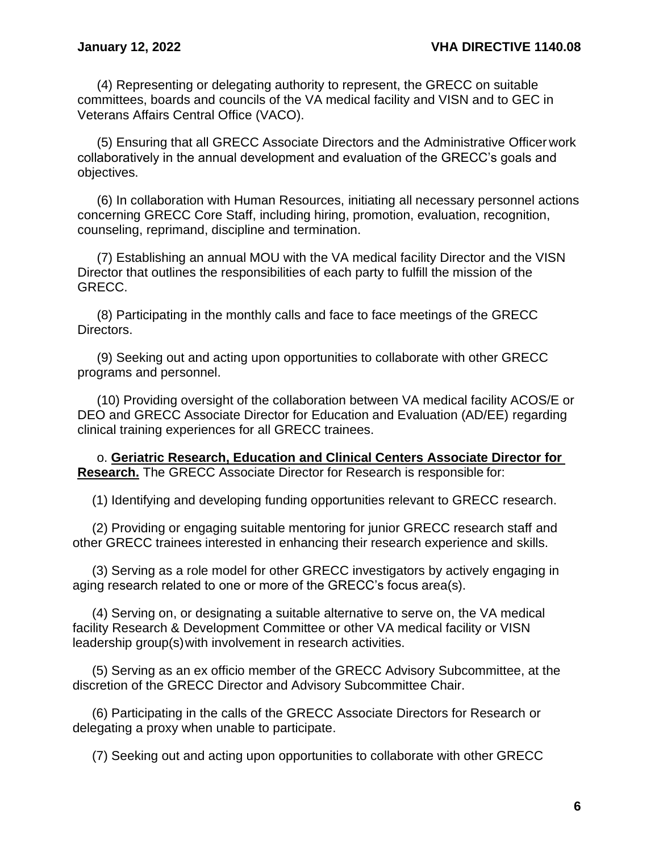(4) Representing or delegating authority to represent, the GRECC on suitable committees, boards and councils of the VA medical facility and VISN and to GEC in Veterans Affairs Central Office (VACO).

(5) Ensuring that all GRECC Associate Directors and the Administrative Officer work collaboratively in the annual development and evaluation of the GRECC's goals and objectives.

(6) In collaboration with Human Resources, initiating all necessary personnel actions concerning GRECC Core Staff, including hiring, promotion, evaluation, recognition, counseling, reprimand, discipline and termination.

(7) Establishing an annual MOU with the VA medical facility Director and the VISN Director that outlines the responsibilities of each party to fulfill the mission of the GRECC.

(8) Participating in the monthly calls and face to face meetings of the GRECC Directors.

(9) Seeking out and acting upon opportunities to collaborate with other GRECC programs and personnel.

(10) Providing oversight of the collaboration between VA medical facility ACOS/E or DEO and GRECC Associate Director for Education and Evaluation (AD/EE) regarding clinical training experiences for all GRECC trainees.

o. **Geriatric Research, Education and Clinical Centers Associate Director for Research.** The GRECC Associate Director for Research is responsible for:

(1) Identifying and developing funding opportunities relevant to GRECC research.

(2) Providing or engaging suitable mentoring for junior GRECC research staff and other GRECC trainees interested in enhancing their research experience and skills.

(3) Serving as a role model for other GRECC investigators by actively engaging in aging research related to one or more of the GRECC's focus area(s).

(4) Serving on, or designating a suitable alternative to serve on, the VA medical facility Research & Development Committee or other VA medical facility or VISN leadership group(s)with involvement in research activities.

(5) Serving as an ex officio member of the GRECC Advisory Subcommittee, at the discretion of the GRECC Director and Advisory Subcommittee Chair.

(6) Participating in the calls of the GRECC Associate Directors for Research or delegating a proxy when unable to participate.

(7) Seeking out and acting upon opportunities to collaborate with other GRECC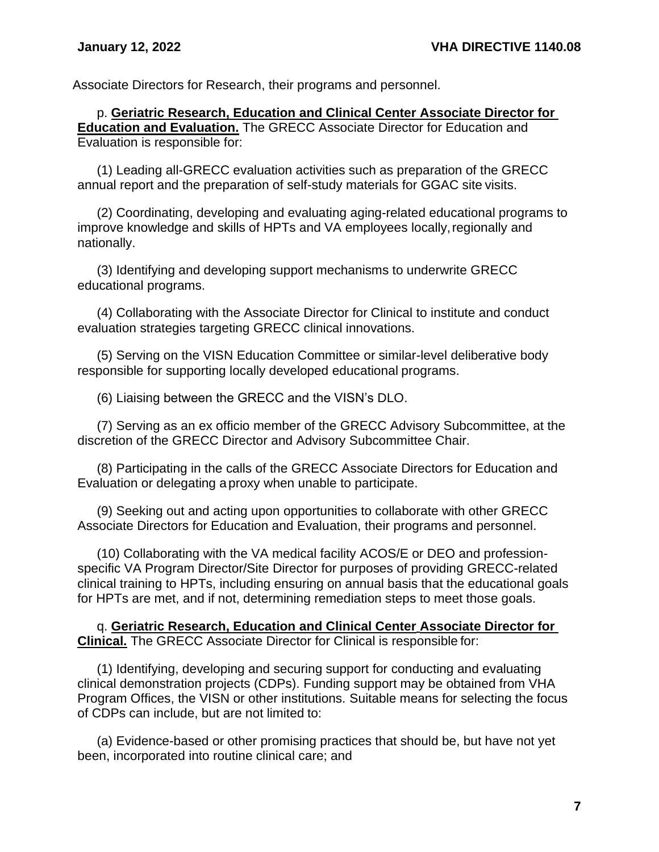Associate Directors for Research, their programs and personnel.

p. **Geriatric Research, Education and Clinical Center Associate Director for Education and Evaluation.** The GRECC Associate Director for Education and Evaluation is responsible for:

(1) Leading all-GRECC evaluation activities such as preparation of the GRECC annual report and the preparation of self-study materials for GGAC site visits.

(2) Coordinating, developing and evaluating aging-related educational programs to improve knowledge and skills of HPTs and VA employees locally, regionally and nationally.

(3) Identifying and developing support mechanisms to underwrite GRECC educational programs.

(4) Collaborating with the Associate Director for Clinical to institute and conduct evaluation strategies targeting GRECC clinical innovations.

(5) Serving on the VISN Education Committee or similar-level deliberative body responsible for supporting locally developed educational programs.

(6) Liaising between the GRECC and the VISN's DLO.

(7) Serving as an ex officio member of the GRECC Advisory Subcommittee, at the discretion of the GRECC Director and Advisory Subcommittee Chair.

(8) Participating in the calls of the GRECC Associate Directors for Education and Evaluation or delegating aproxy when unable to participate.

(9) Seeking out and acting upon opportunities to collaborate with other GRECC Associate Directors for Education and Evaluation, their programs and personnel.

(10) Collaborating with the VA medical facility ACOS/E or DEO and professionspecific VA Program Director/Site Director for purposes of providing GRECC-related clinical training to HPTs, including ensuring on annual basis that the educational goals for HPTs are met, and if not, determining remediation steps to meet those goals.

q. **Geriatric Research, Education and Clinical Center Associate Director for Clinical.** The GRECC Associate Director for Clinical is responsible for:

(1) Identifying, developing and securing support for conducting and evaluating clinical demonstration projects (CDPs). Funding support may be obtained from VHA Program Offices, the VISN or other institutions. Suitable means for selecting the focus of CDPs can include, but are not limited to:

(a) Evidence-based or other promising practices that should be, but have not yet been, incorporated into routine clinical care; and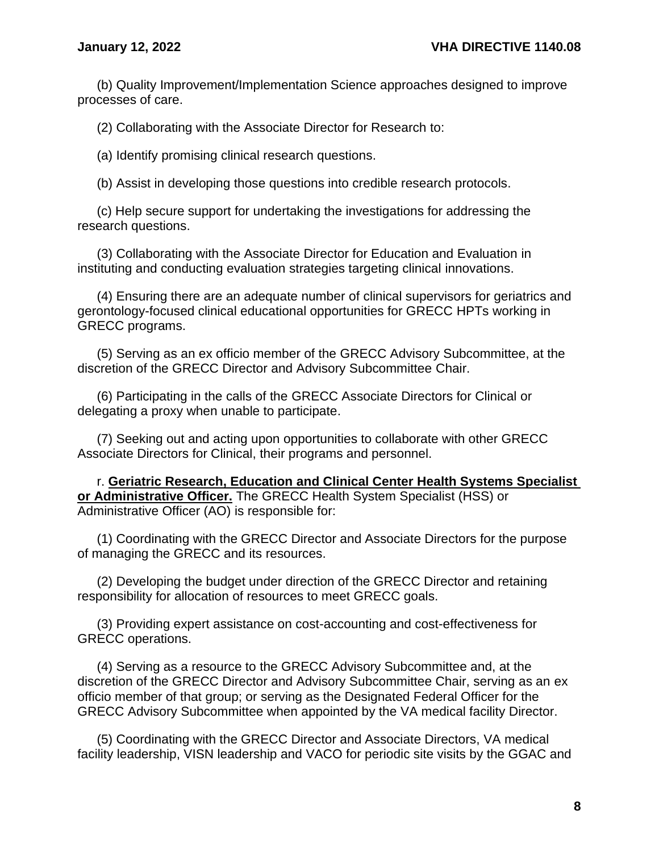(b) Quality Improvement/Implementation Science approaches designed to improve processes of care.

(2) Collaborating with the Associate Director for Research to:

(a) Identify promising clinical research questions.

(b) Assist in developing those questions into credible research protocols.

(c) Help secure support for undertaking the investigations for addressing the research questions.

(3) Collaborating with the Associate Director for Education and Evaluation in instituting and conducting evaluation strategies targeting clinical innovations.

(4) Ensuring there are an adequate number of clinical supervisors for geriatrics and gerontology-focused clinical educational opportunities for GRECC HPTs working in GRECC programs.

(5) Serving as an ex officio member of the GRECC Advisory Subcommittee, at the discretion of the GRECC Director and Advisory Subcommittee Chair.

(6) Participating in the calls of the GRECC Associate Directors for Clinical or delegating a proxy when unable to participate.

(7) Seeking out and acting upon opportunities to collaborate with other GRECC Associate Directors for Clinical, their programs and personnel.

r. **Geriatric Research, Education and Clinical Center Health Systems Specialist or Administrative Officer.** The GRECC Health System Specialist (HSS) or Administrative Officer (AO) is responsible for:

(1) Coordinating with the GRECC Director and Associate Directors for the purpose of managing the GRECC and its resources.

(2) Developing the budget under direction of the GRECC Director and retaining responsibility for allocation of resources to meet GRECC goals.

(3) Providing expert assistance on cost-accounting and cost-effectiveness for GRECC operations.

(4) Serving as a resource to the GRECC Advisory Subcommittee and, at the discretion of the GRECC Director and Advisory Subcommittee Chair, serving as an ex officio member of that group; or serving as the Designated Federal Officer for the GRECC Advisory Subcommittee when appointed by the VA medical facility Director.

(5) Coordinating with the GRECC Director and Associate Directors, VA medical facility leadership, VISN leadership and VACO for periodic site visits by the GGAC and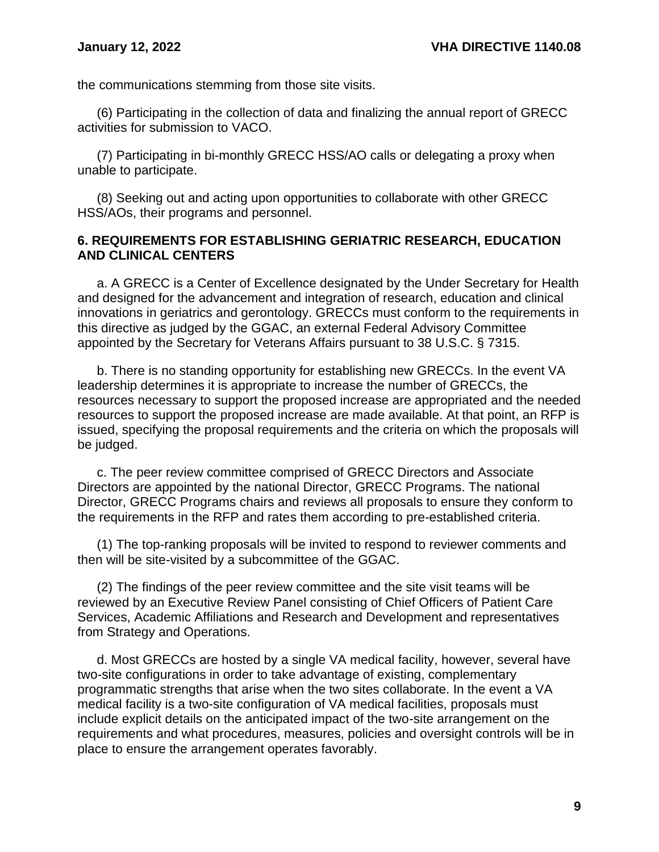the communications stemming from those site visits.

(6) Participating in the collection of data and finalizing the annual report of GRECC activities for submission to VACO.

(7) Participating in bi-monthly GRECC HSS/AO calls or delegating a proxy when unable to participate.

(8) Seeking out and acting upon opportunities to collaborate with other GRECC HSS/AOs, their programs and personnel.

#### <span id="page-11-0"></span>**6. REQUIREMENTS FOR ESTABLISHING GERIATRIC RESEARCH, EDUCATION AND CLINICAL CENTERS**

a. A GRECC is a Center of Excellence designated by the Under Secretary for Health and designed for the advancement and integration of research, education and clinical innovations in geriatrics and gerontology. GRECCs must conform to the requirements in this directive as judged by the GGAC, an external Federal Advisory Committee appointed by the Secretary for Veterans Affairs pursuant to 38 U.S.C. § 7315.

b. There is no standing opportunity for establishing new GRECCs. In the event VA leadership determines it is appropriate to increase the number of GRECCs, the resources necessary to support the proposed increase are appropriated and the needed resources to support the proposed increase are made available. At that point, an RFP is issued, specifying the proposal requirements and the criteria on which the proposals will be judged.

c. The peer review committee comprised of GRECC Directors and Associate Directors are appointed by the national Director, GRECC Programs. The national Director, GRECC Programs chairs and reviews all proposals to ensure they conform to the requirements in the RFP and rates them according to pre-established criteria.

(1) The top-ranking proposals will be invited to respond to reviewer comments and then will be site-visited by a subcommittee of the GGAC.

(2) The findings of the peer review committee and the site visit teams will be reviewed by an Executive Review Panel consisting of Chief Officers of Patient Care Services, Academic Affiliations and Research and Development and representatives from Strategy and Operations.

d. Most GRECCs are hosted by a single VA medical facility, however, several have two-site configurations in order to take advantage of existing, complementary programmatic strengths that arise when the two sites collaborate. In the event a VA medical facility is a two-site configuration of VA medical facilities, proposals must include explicit details on the anticipated impact of the two-site arrangement on the requirements and what procedures, measures, policies and oversight controls will be in place to ensure the arrangement operates favorably.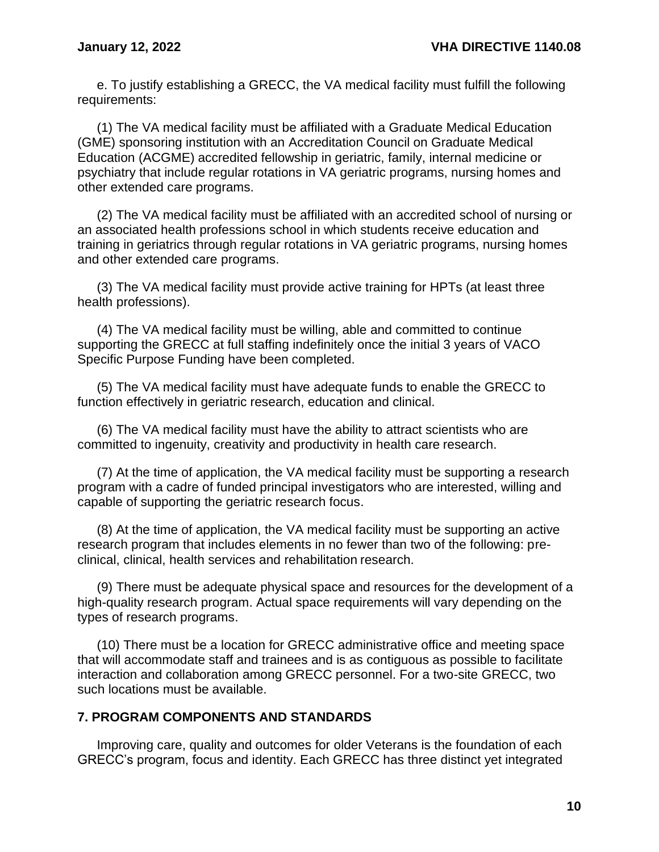e. To justify establishing a GRECC, the VA medical facility must fulfill the following requirements:

(1) The VA medical facility must be affiliated with a Graduate Medical Education (GME) sponsoring institution with an Accreditation Council on Graduate Medical Education (ACGME) accredited fellowship in geriatric, family, internal medicine or psychiatry that include regular rotations in VA geriatric programs, nursing homes and other extended care programs.

(2) The VA medical facility must be affiliated with an accredited school of nursing or an associated health professions school in which students receive education and training in geriatrics through regular rotations in VA geriatric programs, nursing homes and other extended care programs.

(3) The VA medical facility must provide active training for HPTs (at least three health professions).

(4) The VA medical facility must be willing, able and committed to continue supporting the GRECC at full staffing indefinitely once the initial 3 years of VACO Specific Purpose Funding have been completed.

(5) The VA medical facility must have adequate funds to enable the GRECC to function effectively in geriatric research, education and clinical.

(6) The VA medical facility must have the ability to attract scientists who are committed to ingenuity, creativity and productivity in health care research.

(7) At the time of application, the VA medical facility must be supporting a research program with a cadre of funded principal investigators who are interested, willing and capable of supporting the geriatric research focus.

(8) At the time of application, the VA medical facility must be supporting an active research program that includes elements in no fewer than two of the following: preclinical, clinical, health services and rehabilitation research.

(9) There must be adequate physical space and resources for the development of a high-quality research program. Actual space requirements will vary depending on the types of research programs.

(10) There must be a location for GRECC administrative office and meeting space that will accommodate staff and trainees and is as contiguous as possible to facilitate interaction and collaboration among GRECC personnel. For a two-site GRECC, two such locations must be available.

#### <span id="page-12-0"></span>**7. PROGRAM COMPONENTS AND STANDARDS**

Improving care, quality and outcomes for older Veterans is the foundation of each GRECC's program, focus and identity. Each GRECC has three distinct yet integrated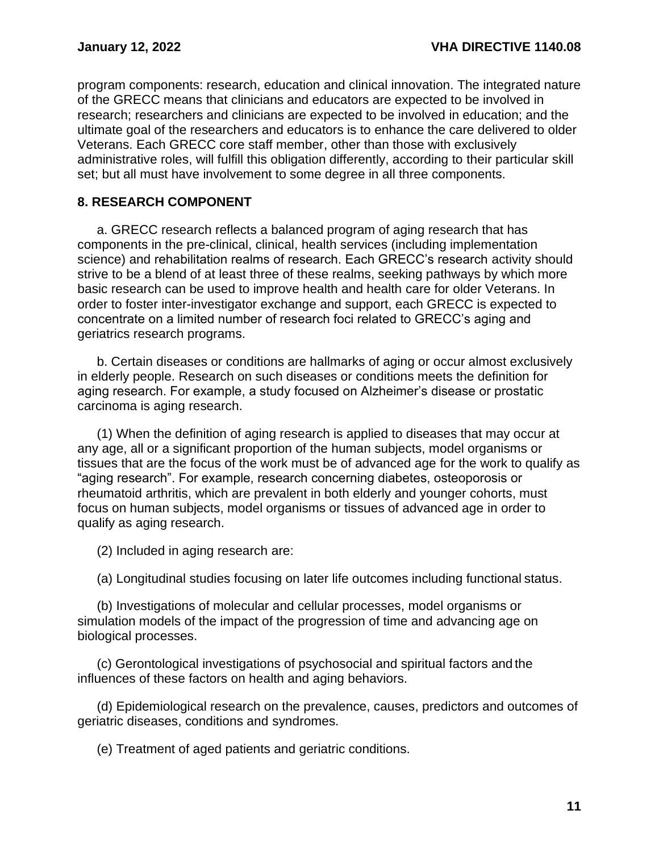program components: research, education and clinical innovation. The integrated nature of the GRECC means that clinicians and educators are expected to be involved in research; researchers and clinicians are expected to be involved in education; and the ultimate goal of the researchers and educators is to enhance the care delivered to older Veterans. Each GRECC core staff member, other than those with exclusively administrative roles, will fulfill this obligation differently, according to their particular skill set; but all must have involvement to some degree in all three components.

#### <span id="page-13-0"></span>**8. RESEARCH COMPONENT**

a. GRECC research reflects a balanced program of aging research that has components in the pre-clinical, clinical, health services (including implementation science) and rehabilitation realms of research. Each GRECC's research activity should strive to be a blend of at least three of these realms, seeking pathways by which more basic research can be used to improve health and health care for older Veterans. In order to foster inter-investigator exchange and support, each GRECC is expected to concentrate on a limited number of research foci related to GRECC's aging and geriatrics research programs.

b. Certain diseases or conditions are hallmarks of aging or occur almost exclusively in elderly people. Research on such diseases or conditions meets the definition for aging research. For example, a study focused on Alzheimer's disease or prostatic carcinoma is aging research.

(1) When the definition of aging research is applied to diseases that may occur at any age, all or a significant proportion of the human subjects, model organisms or tissues that are the focus of the work must be of advanced age for the work to qualify as "aging research". For example, research concerning diabetes, osteoporosis or rheumatoid arthritis, which are prevalent in both elderly and younger cohorts, must focus on human subjects, model organisms or tissues of advanced age in order to qualify as aging research.

(2) Included in aging research are:

(a) Longitudinal studies focusing on later life outcomes including functional status.

(b) Investigations of molecular and cellular processes, model organisms or simulation models of the impact of the progression of time and advancing age on biological processes.

(c) Gerontological investigations of psychosocial and spiritual factors and the influences of these factors on health and aging behaviors.

(d) Epidemiological research on the prevalence, causes, predictors and outcomes of geriatric diseases, conditions and syndromes.

(e) Treatment of aged patients and geriatric conditions.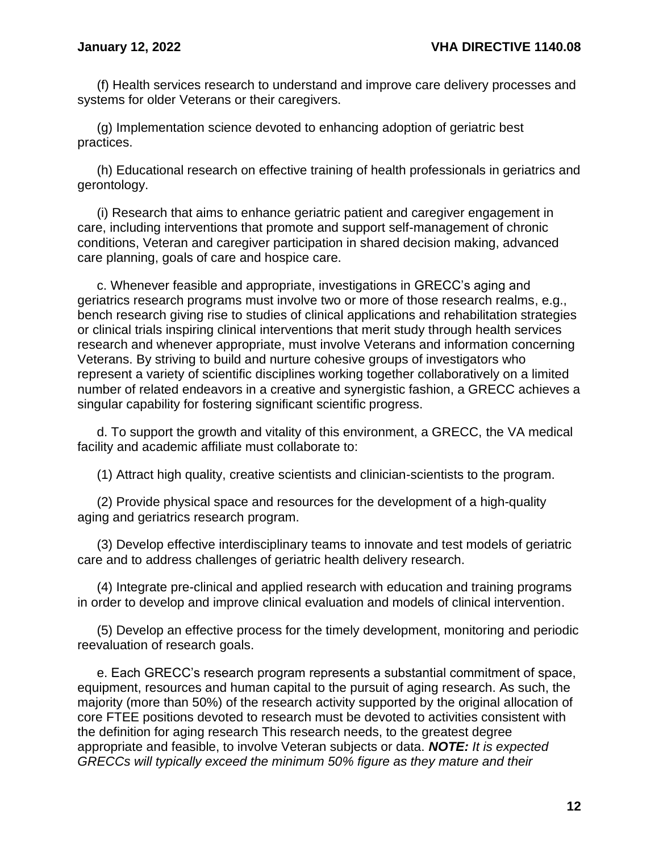(f) Health services research to understand and improve care delivery processes and systems for older Veterans or their caregivers.

(g) Implementation science devoted to enhancing adoption of geriatric best practices.

(h) Educational research on effective training of health professionals in geriatrics and gerontology.

(i) Research that aims to enhance geriatric patient and caregiver engagement in care, including interventions that promote and support self-management of chronic conditions, Veteran and caregiver participation in shared decision making, advanced care planning, goals of care and hospice care.

c. Whenever feasible and appropriate, investigations in GRECC's aging and geriatrics research programs must involve two or more of those research realms, e.g., bench research giving rise to studies of clinical applications and rehabilitation strategies or clinical trials inspiring clinical interventions that merit study through health services research and whenever appropriate, must involve Veterans and information concerning Veterans. By striving to build and nurture cohesive groups of investigators who represent a variety of scientific disciplines working together collaboratively on a limited number of related endeavors in a creative and synergistic fashion, a GRECC achieves a singular capability for fostering significant scientific progress.

d. To support the growth and vitality of this environment, a GRECC, the VA medical facility and academic affiliate must collaborate to:

(1) Attract high quality, creative scientists and clinician-scientists to the program.

(2) Provide physical space and resources for the development of a high-quality aging and geriatrics research program.

(3) Develop effective interdisciplinary teams to innovate and test models of geriatric care and to address challenges of geriatric health delivery research.

(4) Integrate pre-clinical and applied research with education and training programs in order to develop and improve clinical evaluation and models of clinical intervention.

(5) Develop an effective process for the timely development, monitoring and periodic reevaluation of research goals.

e. Each GRECC's research program represents a substantial commitment of space, equipment, resources and human capital to the pursuit of aging research. As such, the majority (more than 50%) of the research activity supported by the original allocation of core FTEE positions devoted to research must be devoted to activities consistent with the definition for aging research This research needs, to the greatest degree appropriate and feasible, to involve Veteran subjects or data. *NOTE: It is expected GRECCs will typically exceed the minimum 50% figure as they mature and their*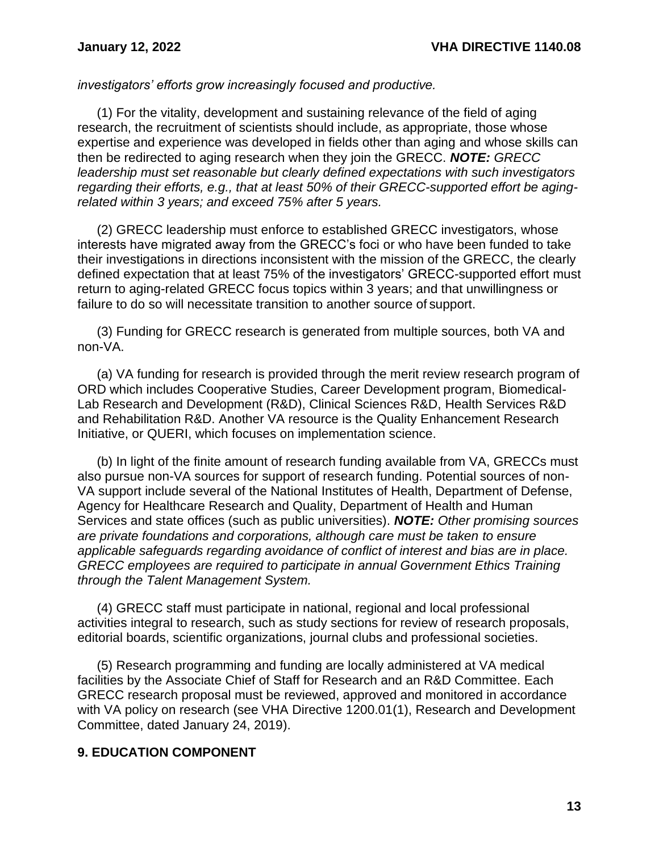*investigators' efforts grow increasingly focused and productive.*

(1) For the vitality, development and sustaining relevance of the field of aging research, the recruitment of scientists should include, as appropriate, those whose expertise and experience was developed in fields other than aging and whose skills can then be redirected to aging research when they join the GRECC. *NOTE: GRECC leadership must set reasonable but clearly defined expectations with such investigators regarding their efforts, e.g., that at least 50% of their GRECC-supported effort be agingrelated within 3 years; and exceed 75% after 5 years.*

(2) GRECC leadership must enforce to established GRECC investigators, whose interests have migrated away from the GRECC's foci or who have been funded to take their investigations in directions inconsistent with the mission of the GRECC, the clearly defined expectation that at least 75% of the investigators' GRECC-supported effort must return to aging-related GRECC focus topics within 3 years; and that unwillingness or failure to do so will necessitate transition to another source of support.

(3) Funding for GRECC research is generated from multiple sources, both VA and non-VA.

(a) VA funding for research is provided through the merit review research program of ORD which includes Cooperative Studies, Career Development program, Biomedical-Lab Research and Development (R&D), Clinical Sciences R&D, Health Services R&D and Rehabilitation R&D. Another VA resource is the Quality Enhancement Research Initiative, or QUERI, which focuses on implementation science.

(b) In light of the finite amount of research funding available from VA, GRECCs must also pursue non-VA sources for support of research funding. Potential sources of non-VA support include several of the National Institutes of Health, Department of Defense, Agency for Healthcare Research and Quality, Department of Health and Human Services and state offices (such as public universities). *NOTE: Other promising sources are private foundations and corporations, although care must be taken to ensure applicable safeguards regarding avoidance of conflict of interest and bias are in place. GRECC employees are required to participate in annual Government Ethics Training through the Talent Management System.*

(4) GRECC staff must participate in national, regional and local professional activities integral to research, such as study sections for review of research proposals, editorial boards, scientific organizations, journal clubs and professional societies.

(5) Research programming and funding are locally administered at VA medical facilities by the Associate Chief of Staff for Research and an R&D Committee. Each GRECC research proposal must be reviewed, approved and monitored in accordance with VA policy on research (see VHA Directive 1200.01(1), Research and Development Committee, dated January 24, 2019).

#### <span id="page-15-0"></span>**9. EDUCATION COMPONENT**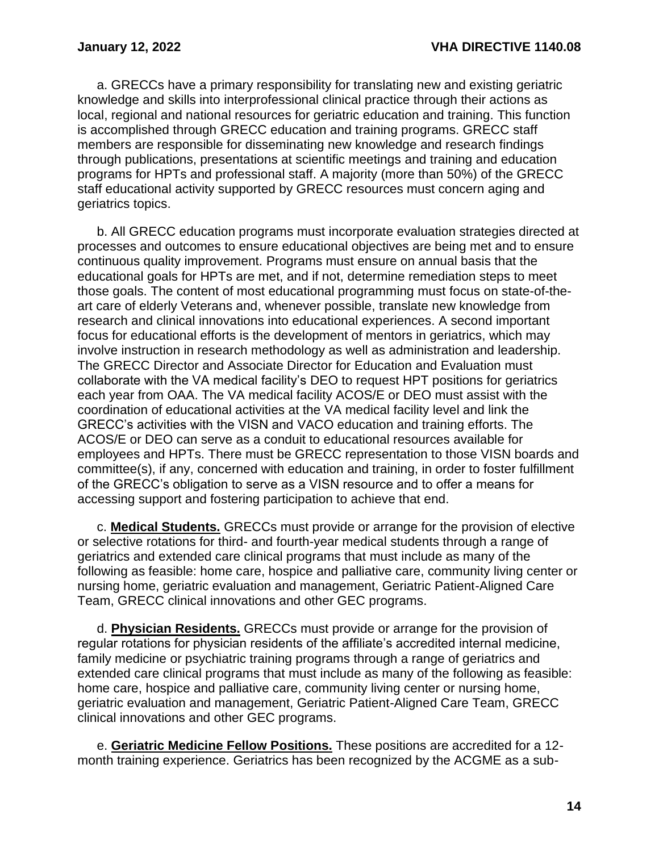a. GRECCs have a primary responsibility for translating new and existing geriatric knowledge and skills into interprofessional clinical practice through their actions as local, regional and national resources for geriatric education and training. This function is accomplished through GRECC education and training programs. GRECC staff members are responsible for disseminating new knowledge and research findings through publications, presentations at scientific meetings and training and education programs for HPTs and professional staff. A majority (more than 50%) of the GRECC staff educational activity supported by GRECC resources must concern aging and geriatrics topics.

b. All GRECC education programs must incorporate evaluation strategies directed at processes and outcomes to ensure educational objectives are being met and to ensure continuous quality improvement. Programs must ensure on annual basis that the educational goals for HPTs are met, and if not, determine remediation steps to meet those goals. The content of most educational programming must focus on state-of-theart care of elderly Veterans and, whenever possible, translate new knowledge from research and clinical innovations into educational experiences. A second important focus for educational efforts is the development of mentors in geriatrics, which may involve instruction in research methodology as well as administration and leadership. The GRECC Director and Associate Director for Education and Evaluation must collaborate with the VA medical facility's DEO to request HPT positions for geriatrics each year from OAA. The VA medical facility ACOS/E or DEO must assist with the coordination of educational activities at the VA medical facility level and link the GRECC's activities with the VISN and VACO education and training efforts. The ACOS/E or DEO can serve as a conduit to educational resources available for employees and HPTs. There must be GRECC representation to those VISN boards and committee(s), if any, concerned with education and training, in order to foster fulfillment of the GRECC's obligation to serve as a VISN resource and to offer a means for accessing support and fostering participation to achieve that end.

c. **Medical Students.** GRECCs must provide or arrange for the provision of elective or selective rotations for third- and fourth-year medical students through a range of geriatrics and extended care clinical programs that must include as many of the following as feasible: home care, hospice and palliative care, community living center or nursing home, geriatric evaluation and management, Geriatric Patient-Aligned Care Team, GRECC clinical innovations and other GEC programs.

d. **Physician Residents.** GRECCs must provide or arrange for the provision of regular rotations for physician residents of the affiliate's accredited internal medicine, family medicine or psychiatric training programs through a range of geriatrics and extended care clinical programs that must include as many of the following as feasible: home care, hospice and palliative care, community living center or nursing home, geriatric evaluation and management, Geriatric Patient-Aligned Care Team, GRECC clinical innovations and other GEC programs.

e. **Geriatric Medicine Fellow Positions.** These positions are accredited for a 12 month training experience. Geriatrics has been recognized by the ACGME as a sub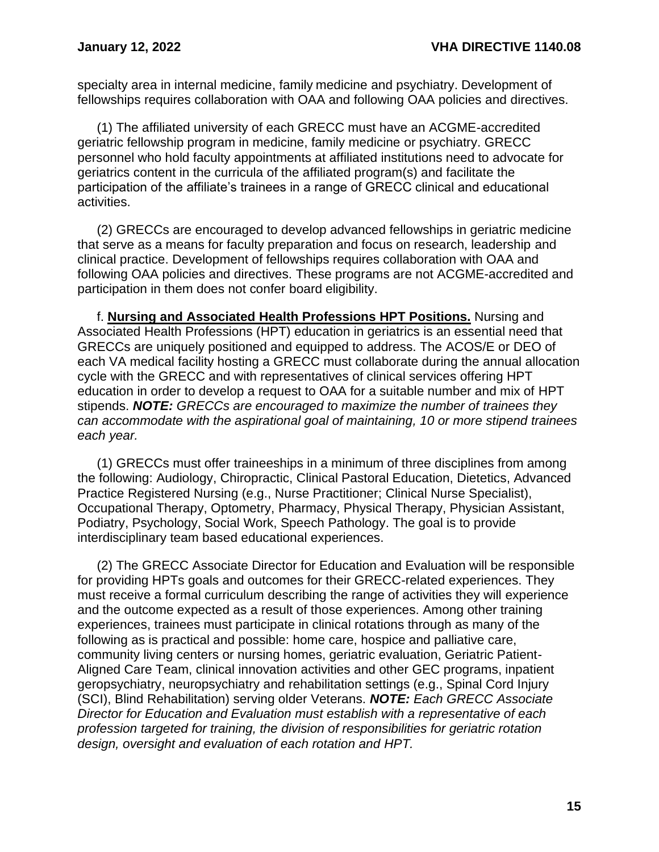specialty area in internal medicine, family medicine and psychiatry. Development of fellowships requires collaboration with OAA and following OAA policies and directives.

(1) The affiliated university of each GRECC must have an ACGME-accredited geriatric fellowship program in medicine, family medicine or psychiatry. GRECC personnel who hold faculty appointments at affiliated institutions need to advocate for geriatrics content in the curricula of the affiliated program(s) and facilitate the participation of the affiliate's trainees in a range of GRECC clinical and educational activities.

(2) GRECCs are encouraged to develop advanced fellowships in geriatric medicine that serve as a means for faculty preparation and focus on research, leadership and clinical practice. Development of fellowships requires collaboration with OAA and following OAA policies and directives. These programs are not ACGME-accredited and participation in them does not confer board eligibility.

f. **Nursing and Associated Health Professions HPT Positions.** Nursing and Associated Health Professions (HPT) education in geriatrics is an essential need that GRECCs are uniquely positioned and equipped to address. The ACOS/E or DEO of each VA medical facility hosting a GRECC must collaborate during the annual allocation cycle with the GRECC and with representatives of clinical services offering HPT education in order to develop a request to OAA for a suitable number and mix of HPT stipends. *NOTE: GRECCs are encouraged to maximize the number of trainees they can accommodate with the aspirational goal of maintaining, 10 or more stipend trainees each year.*

(1) GRECCs must offer traineeships in a minimum of three disciplines from among the following: Audiology, Chiropractic, Clinical Pastoral Education, Dietetics, Advanced Practice Registered Nursing (e.g., Nurse Practitioner; Clinical Nurse Specialist), Occupational Therapy, Optometry, Pharmacy, Physical Therapy, Physician Assistant, Podiatry, Psychology, Social Work, Speech Pathology. The goal is to provide interdisciplinary team based educational experiences.

(2) The GRECC Associate Director for Education and Evaluation will be responsible for providing HPTs goals and outcomes for their GRECC-related experiences. They must receive a formal curriculum describing the range of activities they will experience and the outcome expected as a result of those experiences. Among other training experiences, trainees must participate in clinical rotations through as many of the following as is practical and possible: home care, hospice and palliative care, community living centers or nursing homes, geriatric evaluation, Geriatric Patient-Aligned Care Team, clinical innovation activities and other GEC programs, inpatient geropsychiatry, neuropsychiatry and rehabilitation settings (e.g., Spinal Cord Injury (SCI), Blind Rehabilitation) serving older Veterans. *NOTE: Each GRECC Associate Director for Education and Evaluation must establish with a representative of each profession targeted for training, the division of responsibilities for geriatric rotation design, oversight and evaluation of each rotation and HPT.*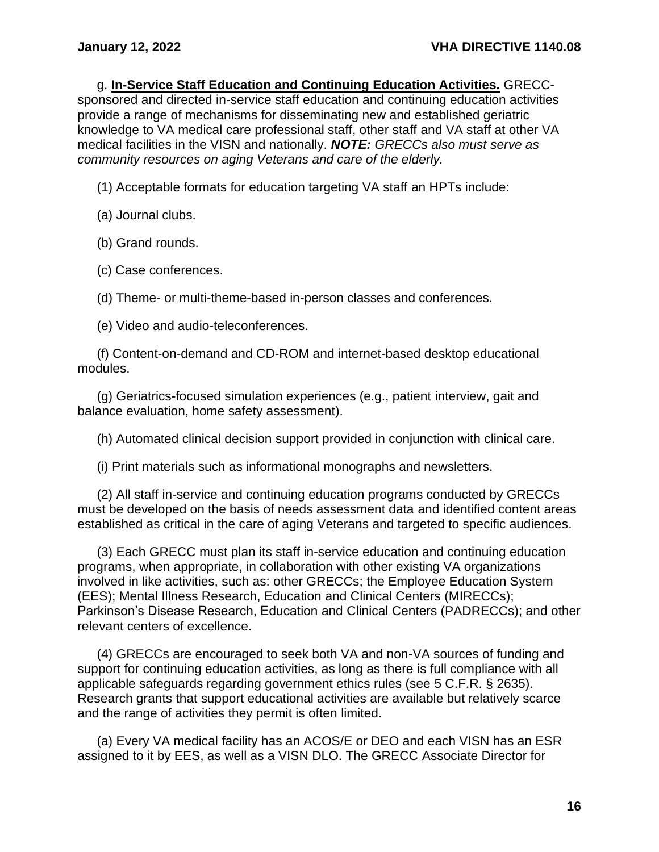g. **In-Service Staff Education and Continuing Education Activities.** GRECCsponsored and directed in-service staff education and continuing education activities provide a range of mechanisms for disseminating new and established geriatric knowledge to VA medical care professional staff, other staff and VA staff at other VA medical facilities in the VISN and nationally. *NOTE: GRECCs also must serve as community resources on aging Veterans and care of the elderly.*

(1) Acceptable formats for education targeting VA staff an HPTs include:

(a) Journal clubs.

(b) Grand rounds.

(c) Case conferences.

(d) Theme- or multi-theme-based in-person classes and conferences.

(e) Video and audio-teleconferences.

(f) Content-on-demand and CD-ROM and internet-based desktop educational modules.

(g) Geriatrics-focused simulation experiences (e.g., patient interview, gait and balance evaluation, home safety assessment).

(h) Automated clinical decision support provided in conjunction with clinical care.

(i) Print materials such as informational monographs and newsletters.

(2) All staff in-service and continuing education programs conducted by GRECCs must be developed on the basis of needs assessment data and identified content areas established as critical in the care of aging Veterans and targeted to specific audiences.

(3) Each GRECC must plan its staff in-service education and continuing education programs, when appropriate, in collaboration with other existing VA organizations involved in like activities, such as: other GRECCs; the Employee Education System (EES); Mental Illness Research, Education and Clinical Centers (MIRECCs); Parkinson's Disease Research, Education and Clinical Centers (PADRECCs); and other relevant centers of excellence.

(4) GRECCs are encouraged to seek both VA and non-VA sources of funding and support for continuing education activities, as long as there is full compliance with all applicable safeguards regarding government ethics rules (see 5 C.F.R. § 2635). Research grants that support educational activities are available but relatively scarce and the range of activities they permit is often limited.

(a) Every VA medical facility has an ACOS/E or DEO and each VISN has an ESR assigned to it by EES, as well as a VISN DLO. The GRECC Associate Director for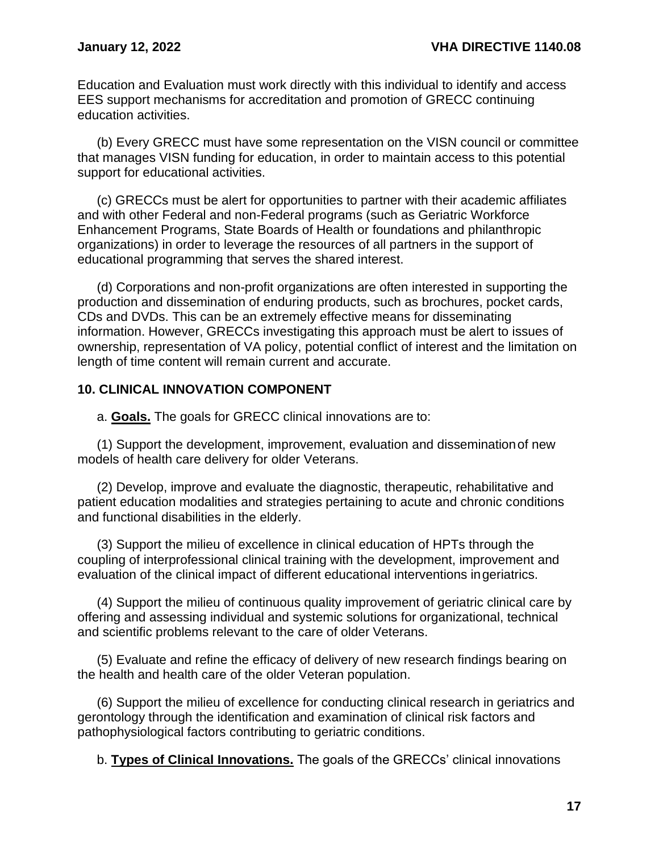Education and Evaluation must work directly with this individual to identify and access EES support mechanisms for accreditation and promotion of GRECC continuing education activities.

(b) Every GRECC must have some representation on the VISN council or committee that manages VISN funding for education, in order to maintain access to this potential support for educational activities.

(c) GRECCs must be alert for opportunities to partner with their academic affiliates and with other Federal and non-Federal programs (such as Geriatric Workforce Enhancement Programs, State Boards of Health or foundations and philanthropic organizations) in order to leverage the resources of all partners in the support of educational programming that serves the shared interest.

(d) Corporations and non-profit organizations are often interested in supporting the production and dissemination of enduring products, such as brochures, pocket cards, CDs and DVDs. This can be an extremely effective means for disseminating information. However, GRECCs investigating this approach must be alert to issues of ownership, representation of VA policy, potential conflict of interest and the limitation on length of time content will remain current and accurate.

### <span id="page-19-0"></span>**10. CLINICAL INNOVATION COMPONENT**

a. **Goals.** The goals for GRECC clinical innovations are to:

(1) Support the development, improvement, evaluation and disseminationof new models of health care delivery for older Veterans.

(2) Develop, improve and evaluate the diagnostic, therapeutic, rehabilitative and patient education modalities and strategies pertaining to acute and chronic conditions and functional disabilities in the elderly.

(3) Support the milieu of excellence in clinical education of HPTs through the coupling of interprofessional clinical training with the development, improvement and evaluation of the clinical impact of different educational interventions ingeriatrics.

(4) Support the milieu of continuous quality improvement of geriatric clinical care by offering and assessing individual and systemic solutions for organizational, technical and scientific problems relevant to the care of older Veterans.

(5) Evaluate and refine the efficacy of delivery of new research findings bearing on the health and health care of the older Veteran population.

(6) Support the milieu of excellence for conducting clinical research in geriatrics and gerontology through the identification and examination of clinical risk factors and pathophysiological factors contributing to geriatric conditions.

b. **Types of Clinical Innovations.** The goals of the GRECCs' clinical innovations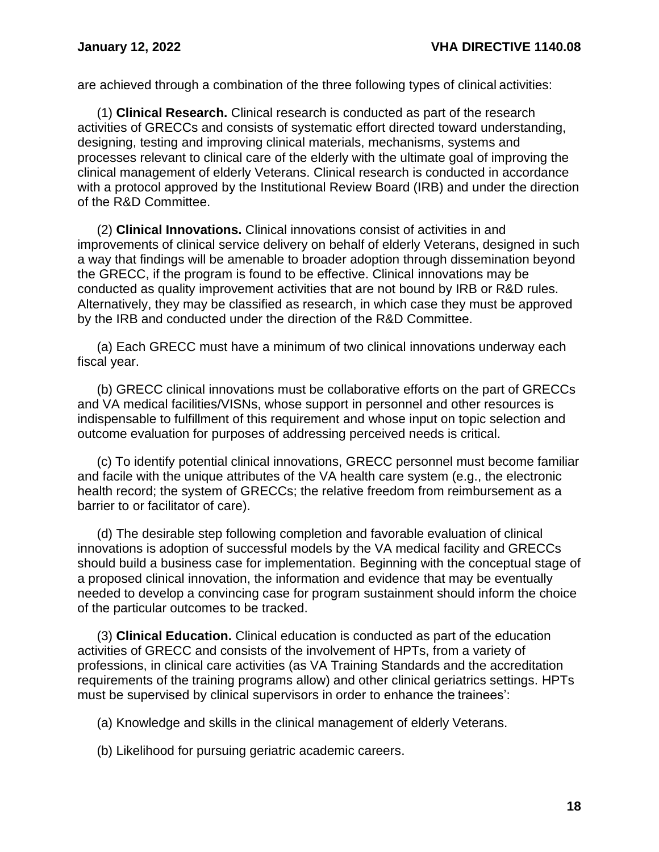are achieved through a combination of the three following types of clinical activities:

(1) **Clinical Research.** Clinical research is conducted as part of the research activities of GRECCs and consists of systematic effort directed toward understanding, designing, testing and improving clinical materials, mechanisms, systems and processes relevant to clinical care of the elderly with the ultimate goal of improving the clinical management of elderly Veterans. Clinical research is conducted in accordance with a protocol approved by the Institutional Review Board (IRB) and under the direction of the R&D Committee.

(2) **Clinical Innovations.** Clinical innovations consist of activities in and improvements of clinical service delivery on behalf of elderly Veterans, designed in such a way that findings will be amenable to broader adoption through dissemination beyond the GRECC, if the program is found to be effective. Clinical innovations may be conducted as quality improvement activities that are not bound by IRB or R&D rules. Alternatively, they may be classified as research, in which case they must be approved by the IRB and conducted under the direction of the R&D Committee.

(a) Each GRECC must have a minimum of two clinical innovations underway each fiscal year.

(b) GRECC clinical innovations must be collaborative efforts on the part of GRECCs and VA medical facilities/VISNs, whose support in personnel and other resources is indispensable to fulfillment of this requirement and whose input on topic selection and outcome evaluation for purposes of addressing perceived needs is critical.

(c) To identify potential clinical innovations, GRECC personnel must become familiar and facile with the unique attributes of the VA health care system (e.g., the electronic health record; the system of GRECCs; the relative freedom from reimbursement as a barrier to or facilitator of care).

(d) The desirable step following completion and favorable evaluation of clinical innovations is adoption of successful models by the VA medical facility and GRECCs should build a business case for implementation. Beginning with the conceptual stage of a proposed clinical innovation, the information and evidence that may be eventually needed to develop a convincing case for program sustainment should inform the choice of the particular outcomes to be tracked.

(3) **Clinical Education.** Clinical education is conducted as part of the education activities of GRECC and consists of the involvement of HPTs, from a variety of professions, in clinical care activities (as VA Training Standards and the accreditation requirements of the training programs allow) and other clinical geriatrics settings. HPTs must be supervised by clinical supervisors in order to enhance the trainees':

(a) Knowledge and skills in the clinical management of elderly Veterans.

(b) Likelihood for pursuing geriatric academic careers.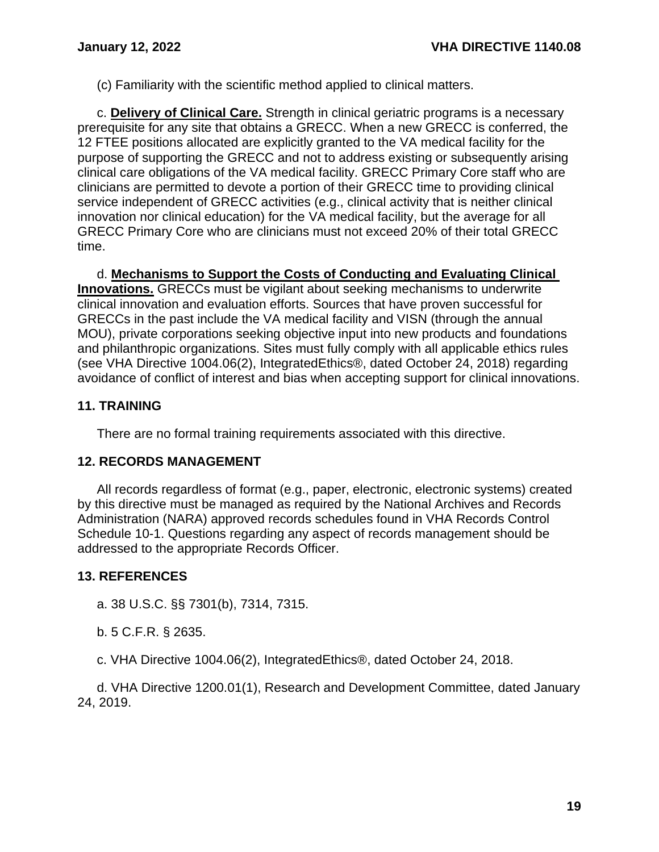(c) Familiarity with the scientific method applied to clinical matters.

c. **Delivery of Clinical Care.** Strength in clinical geriatric programs is a necessary prerequisite for any site that obtains a GRECC. When a new GRECC is conferred, the 12 FTEE positions allocated are explicitly granted to the VA medical facility for the purpose of supporting the GRECC and not to address existing or subsequently arising clinical care obligations of the VA medical facility. GRECC Primary Core staff who are clinicians are permitted to devote a portion of their GRECC time to providing clinical service independent of GRECC activities (e.g., clinical activity that is neither clinical innovation nor clinical education) for the VA medical facility, but the average for all GRECC Primary Core who are clinicians must not exceed 20% of their total GRECC time.

d. **Mechanisms to Support the Costs of Conducting and Evaluating Clinical Innovations.** GRECCs must be vigilant about seeking mechanisms to underwrite clinical innovation and evaluation efforts. Sources that have proven successful for GRECCs in the past include the VA medical facility and VISN (through the annual MOU), private corporations seeking objective input into new products and foundations and philanthropic organizations. Sites must fully comply with all applicable ethics rules (see VHA Directive 1004.06(2), IntegratedEthics®, dated October 24, 2018) regarding avoidance of conflict of interest and bias when accepting support for clinical innovations.

# <span id="page-21-0"></span>**11. TRAINING**

There are no formal training requirements associated with this directive.

# <span id="page-21-1"></span>**12. RECORDS MANAGEMENT**

All records regardless of format (e.g., paper, electronic, electronic systems) created by this directive must be managed as required by the National Archives and Records Administration (NARA) approved records schedules found in VHA Records Control Schedule 10-1. Questions regarding any aspect of records management should be addressed to the appropriate Records Officer.

# <span id="page-21-2"></span>**13. REFERENCES**

a. 38 U.S.C. §§ 7301(b), 7314, 7315.

b. 5 C.F.R. § 2635.

c. VHA Directive 1004.06(2), IntegratedEthics®, dated October 24, 2018.

d. VHA Directive 1200.01(1), Research and Development Committee, dated January 24, 2019.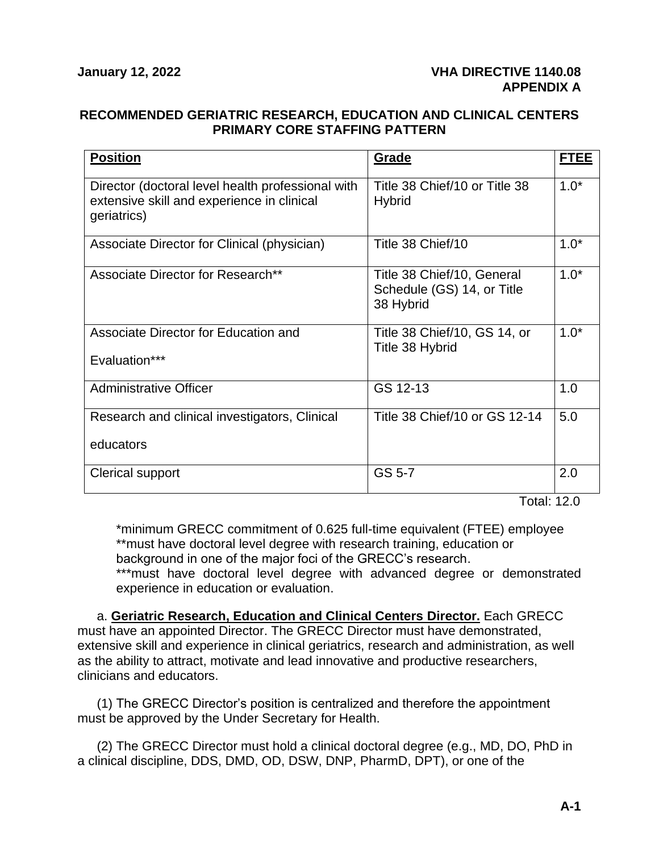#### <span id="page-22-1"></span><span id="page-22-0"></span>**RECOMMENDED GERIATRIC RESEARCH, EDUCATION AND CLINICAL CENTERS PRIMARY CORE STAFFING PATTERN**

| <b>Position</b>                                                                                                | Grade                                                                 | <b>FTEE</b> |
|----------------------------------------------------------------------------------------------------------------|-----------------------------------------------------------------------|-------------|
| Director (doctoral level health professional with<br>extensive skill and experience in clinical<br>geriatrics) | Title 38 Chief/10 or Title 38<br><b>Hybrid</b>                        | $1.0*$      |
| Associate Director for Clinical (physician)                                                                    | Title 38 Chief/10                                                     | $1.0*$      |
| Associate Director for Research**                                                                              | Title 38 Chief/10, General<br>Schedule (GS) 14, or Title<br>38 Hybrid | $1.0*$      |
| Associate Director for Education and<br>Evaluation***                                                          | Title 38 Chief/10, GS 14, or<br>Title 38 Hybrid                       | $1.0*$      |
| <b>Administrative Officer</b>                                                                                  | GS 12-13                                                              | 1.0         |
| Research and clinical investigators, Clinical<br>educators                                                     | Title 38 Chief/10 or GS 12-14                                         | 5.0         |
| Clerical support                                                                                               | GS 5-7                                                                | 2.0         |

Total: 12.0

\*minimum GRECC commitment of 0.625 full-time equivalent (FTEE) employee \*\*must have doctoral level degree with research training, education or background in one of the major foci of the GRECC's research.

\*\*\*must have doctoral level degree with advanced degree or demonstrated experience in education or evaluation.

a. **Geriatric Research, Education and Clinical Centers Director.** Each GRECC must have an appointed Director. The GRECC Director must have demonstrated, extensive skill and experience in clinical geriatrics, research and administration, as well as the ability to attract, motivate and lead innovative and productive researchers, clinicians and educators.

(1) The GRECC Director's position is centralized and therefore the appointment must be approved by the Under Secretary for Health.

(2) The GRECC Director must hold a clinical doctoral degree (e.g., MD, DO, PhD in a clinical discipline, DDS, DMD, OD, DSW, DNP, PharmD, DPT), or one of the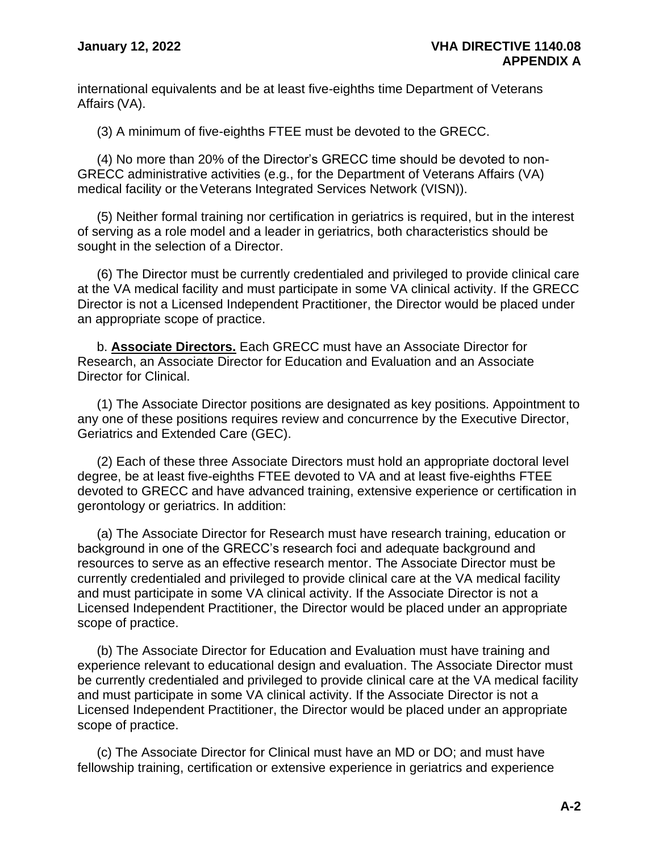international equivalents and be at least five-eighths time Department of Veterans Affairs (VA).

(3) A minimum of five-eighths FTEE must be devoted to the GRECC.

(4) No more than 20% of the Director's GRECC time should be devoted to non-GRECC administrative activities (e.g., for the Department of Veterans Affairs (VA) medical facility or the Veterans Integrated Services Network (VISN)).

(5) Neither formal training nor certification in geriatrics is required, but in the interest of serving as a role model and a leader in geriatrics, both characteristics should be sought in the selection of a Director.

(6) The Director must be currently credentialed and privileged to provide clinical care at the VA medical facility and must participate in some VA clinical activity. If the GRECC Director is not a Licensed Independent Practitioner, the Director would be placed under an appropriate scope of practice.

b. **Associate Directors.** Each GRECC must have an Associate Director for Research, an Associate Director for Education and Evaluation and an Associate Director for Clinical.

(1) The Associate Director positions are designated as key positions. Appointment to any one of these positions requires review and concurrence by the Executive Director, Geriatrics and Extended Care (GEC).

(2) Each of these three Associate Directors must hold an appropriate doctoral level degree, be at least five-eighths FTEE devoted to VA and at least five-eighths FTEE devoted to GRECC and have advanced training, extensive experience or certification in gerontology or geriatrics. In addition:

(a) The Associate Director for Research must have research training, education or background in one of the GRECC's research foci and adequate background and resources to serve as an effective research mentor. The Associate Director must be currently credentialed and privileged to provide clinical care at the VA medical facility and must participate in some VA clinical activity. If the Associate Director is not a Licensed Independent Practitioner, the Director would be placed under an appropriate scope of practice.

(b) The Associate Director for Education and Evaluation must have training and experience relevant to educational design and evaluation. The Associate Director must be currently credentialed and privileged to provide clinical care at the VA medical facility and must participate in some VA clinical activity. If the Associate Director is not a Licensed Independent Practitioner, the Director would be placed under an appropriate scope of practice.

(c) The Associate Director for Clinical must have an MD or DO; and must have fellowship training, certification or extensive experience in geriatrics and experience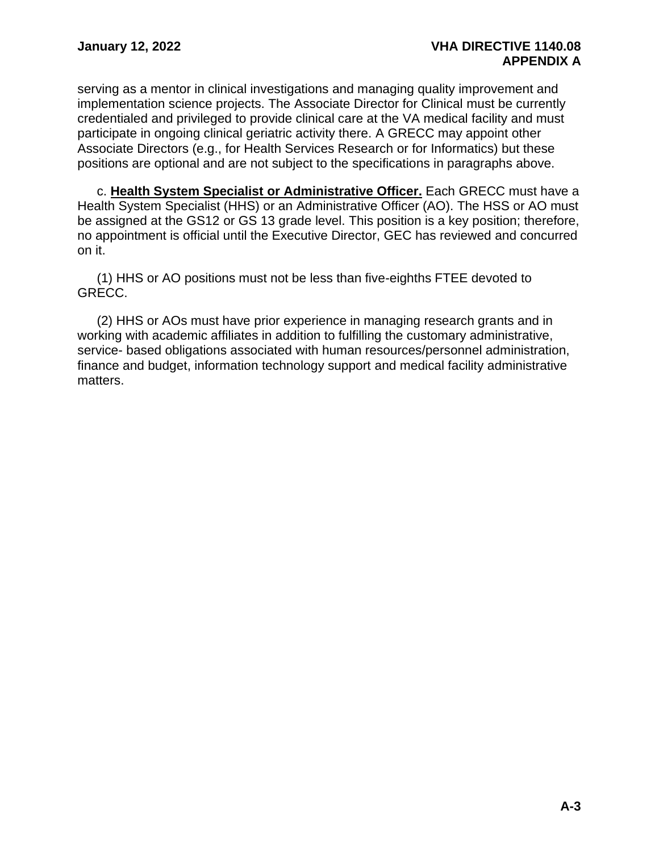serving as a mentor in clinical investigations and managing quality improvement and implementation science projects. The Associate Director for Clinical must be currently credentialed and privileged to provide clinical care at the VA medical facility and must participate in ongoing clinical geriatric activity there. A GRECC may appoint other Associate Directors (e.g., for Health Services Research or for Informatics) but these positions are optional and are not subject to the specifications in paragraphs above.

c. **Health System Specialist or Administrative Officer.** Each GRECC must have a Health System Specialist (HHS) or an Administrative Officer (AO). The HSS or AO must be assigned at the GS12 or GS 13 grade level. This position is a key position; therefore, no appointment is official until the Executive Director, GEC has reviewed and concurred on it.

(1) HHS or AO positions must not be less than five-eighths FTEE devoted to GRECC.

(2) HHS or AOs must have prior experience in managing research grants and in working with academic affiliates in addition to fulfilling the customary administrative, service- based obligations associated with human resources/personnel administration, finance and budget, information technology support and medical facility administrative matters.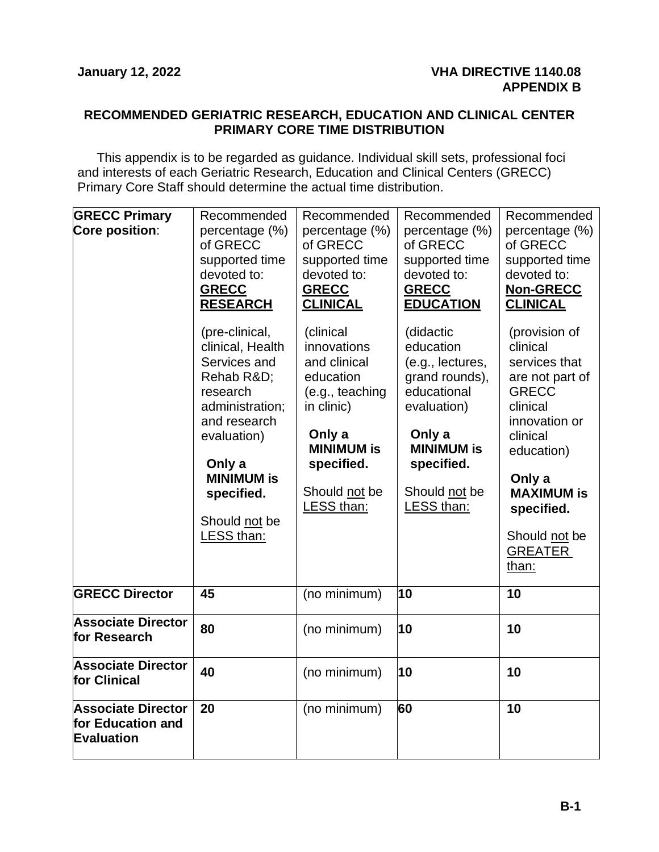#### <span id="page-25-1"></span><span id="page-25-0"></span>**RECOMMENDED GERIATRIC RESEARCH, EDUCATION AND CLINICAL CENTER PRIMARY CORE TIME DISTRIBUTION**

This appendix is to be regarded as guidance. Individual skill sets, professional foci and interests of each Geriatric Research, Education and Clinical Centers (GRECC) Primary Core Staff should determine the actual time distribution.

| <b>GRECC Primary</b><br>Core position:                       | Recommended<br>percentage (%)<br>of GRECC<br>supported time<br>devoted to:<br><b>GRECC</b><br><b>RESEARCH</b><br>(pre-clinical,<br>clinical, Health<br>Services and<br>Rehab R&D<br>research<br>administration;<br>and research<br>evaluation)<br>Only a<br><b>MINIMUM is</b> | Recommended<br>percentage (%)<br>of GRECC<br>supported time<br>devoted to:<br><b>GRECC</b><br><b>CLINICAL</b><br>(clinical<br>innovations<br>and clinical<br>education<br>(e.g., teaching<br>in clinic)<br>Only a<br><b>MINIMUM is</b><br>specified. | Recommended<br>percentage (%)<br>of GRECC<br>supported time<br>devoted to:<br><b>GRECC</b><br><b>EDUCATION</b><br>(didactic<br>education<br>(e.g., lectures,<br>grand rounds),<br>educational<br>evaluation)<br>Only a<br><b>MINIMUM is</b><br>specified. | Recommended<br>percentage (%)<br>of GRECC<br>supported time<br>devoted to:<br>Non-GRECC<br><b>CLINICAL</b><br>(provision of<br>clinical<br>services that<br>are not part of<br><b>GRECC</b><br>clinical<br>innovation or<br>clinical<br>education)<br>Only a |
|--------------------------------------------------------------|-------------------------------------------------------------------------------------------------------------------------------------------------------------------------------------------------------------------------------------------------------------------------------|------------------------------------------------------------------------------------------------------------------------------------------------------------------------------------------------------------------------------------------------------|-----------------------------------------------------------------------------------------------------------------------------------------------------------------------------------------------------------------------------------------------------------|--------------------------------------------------------------------------------------------------------------------------------------------------------------------------------------------------------------------------------------------------------------|
|                                                              | specified.<br>Should not be<br>LESS than:                                                                                                                                                                                                                                     | Should not be<br>LESS than:                                                                                                                                                                                                                          | Should not be<br>LESS than:                                                                                                                                                                                                                               | <b>MAXIMUM is</b><br>specified.<br>Should not be<br><b>GREATER</b><br>than:                                                                                                                                                                                  |
| <b>GRECC Director</b>                                        | 45                                                                                                                                                                                                                                                                            | (no minimum)                                                                                                                                                                                                                                         | 10                                                                                                                                                                                                                                                        | 10                                                                                                                                                                                                                                                           |
| <b>Associate Director</b><br>for Research                    | 80                                                                                                                                                                                                                                                                            | (no minimum)                                                                                                                                                                                                                                         | 10                                                                                                                                                                                                                                                        | 10                                                                                                                                                                                                                                                           |
| <b>Associate Director</b><br>for Clinical                    | 40                                                                                                                                                                                                                                                                            | (no minimum)                                                                                                                                                                                                                                         | 10                                                                                                                                                                                                                                                        | 10                                                                                                                                                                                                                                                           |
| <b>Associate Director</b><br>for Education and<br>Evaluation | 20                                                                                                                                                                                                                                                                            | (no minimum)                                                                                                                                                                                                                                         | 60                                                                                                                                                                                                                                                        | 10                                                                                                                                                                                                                                                           |